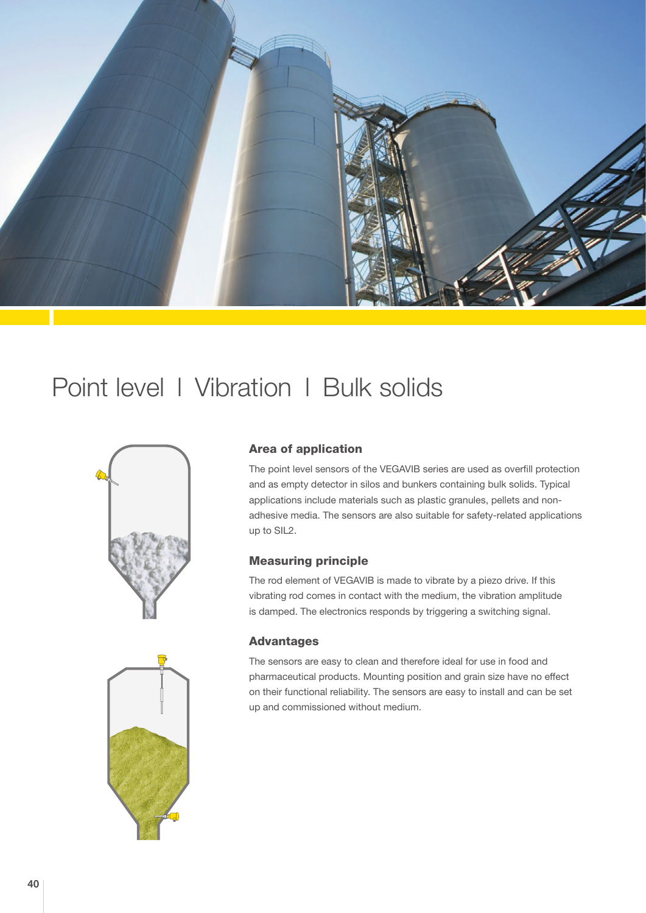

## Point level l Vibration l Bulk solids





## Area of application

The point level sensors of the VEGAVIB series are used as overfill protection and as empty detector in silos and bunkers containing bulk solids. Typical applications include materials such as plastic granules, pellets and nonadhesive media. The sensors are also suitable for safety-related applications up to SIL2.

## Measuring principle

The rod element of VEGAVIB is made to vibrate by a piezo drive. If this vibrating rod comes in contact with the medium, the vibration amplitude is damped. The electronics responds by triggering a switching signal.

## Advantages

The sensors are easy to clean and therefore ideal for use in food and pharmaceutical products. Mounting position and grain size have no effect on their functional reliability. The sensors are easy to install and can be set up and commissioned without medium.